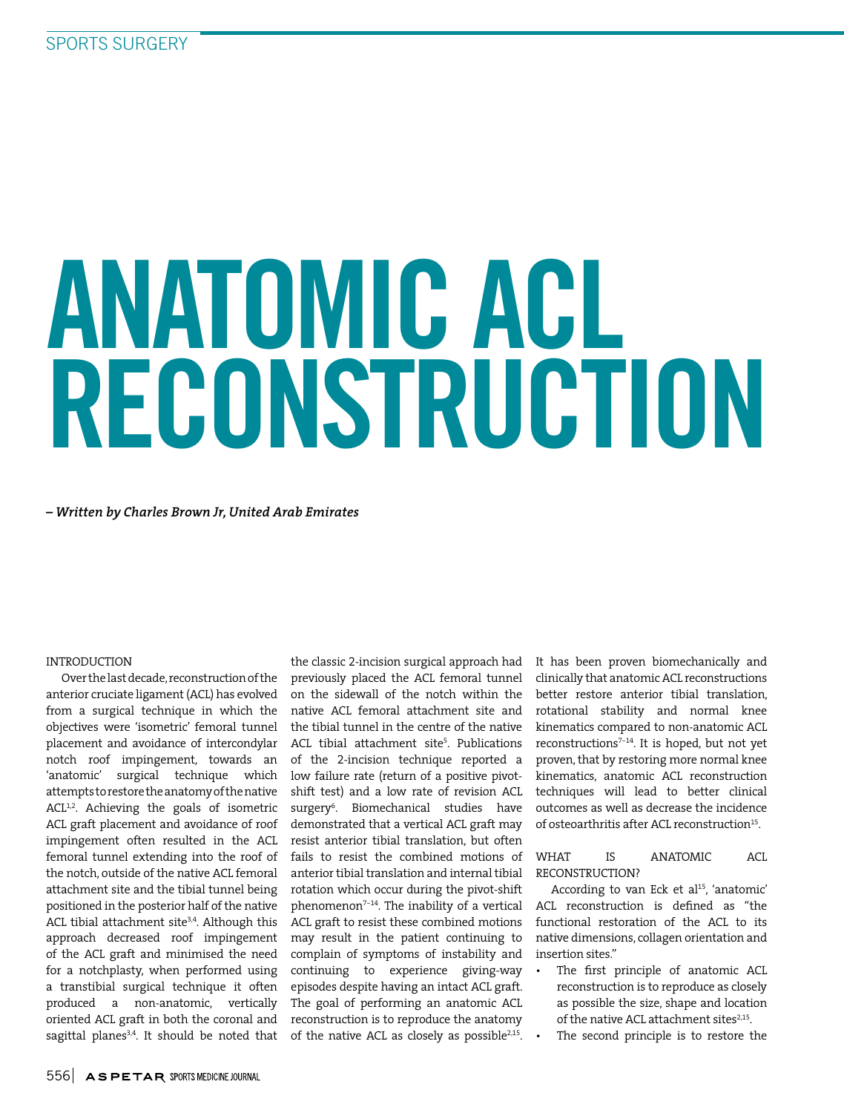# ANATOMIC ACL RECONSTRUCTION

*– Written by Charles Brown Jr, United Arab Emirates*

## INTRODUCTION

Over the last decade, reconstruction of the anterior cruciate ligament (ACL) has evolved from a surgical technique in which the objectives were 'isometric' femoral tunnel placement and avoidance of intercondylar notch roof impingement, towards an 'anatomic' surgical technique which attempts to restore the anatomy of the native ACL<sup>1,2</sup>. Achieving the goals of isometric ACL graft placement and avoidance of roof impingement often resulted in the ACL femoral tunnel extending into the roof of the notch, outside of the native ACL femoral attachment site and the tibial tunnel being positioned in the posterior half of the native ACL tibial attachment site<sup>3,4</sup>. Although this approach decreased roof impingement of the ACL graft and minimised the need for a notchplasty, when performed using a transtibial surgical technique it often produced a non-anatomic, vertically oriented ACL graft in both the coronal and sagittal planes<sup>3,4</sup>. It should be noted that

the classic 2-incision surgical approach had previously placed the ACL femoral tunnel on the sidewall of the notch within the native ACL femoral attachment site and the tibial tunnel in the centre of the native ACL tibial attachment site<sup>5</sup>. Publications of the 2-incision technique reported a low failure rate (return of a positive pivotshift test) and a low rate of revision ACL surgery<sup>6</sup> . Biomechanical studies have demonstrated that a vertical ACL graft may resist anterior tibial translation, but often fails to resist the combined motions of anterior tibial translation and internal tibial rotation which occur during the pivot-shift phenomenon<sup>7-14</sup>. The inability of a vertical ACL graft to resist these combined motions may result in the patient continuing to complain of symptoms of instability and continuing to experience giving-way episodes despite having an intact ACL graft. The goal of performing an anatomic ACL reconstruction is to reproduce the anatomy of the native ACL as closely as possible<sup>2,15</sup>.

It has been proven biomechanically and clinically that anatomic ACL reconstructions better restore anterior tibial translation, rotational stability and normal knee kinematics compared to non-anatomic ACL reconstructions7-14. It is hoped, but not yet proven, that by restoring more normal knee kinematics, anatomic ACL reconstruction techniques will lead to better clinical outcomes as well as decrease the incidence of osteoarthritis after ACL reconstruction<sup>15</sup>.

WHAT IS ANATOMIC ACL RECONSTRUCTION?

According to van Eck et al<sup>15</sup>, 'anatomic' ACL reconstruction is defined as "the functional restoration of the ACL to its native dimensions, collagen orientation and insertion sites."

- • The first principle of anatomic ACL reconstruction is to reproduce as closely as possible the size, shape and location of the native ACL attachment sites<sup>2,15</sup>.
- The second principle is to restore the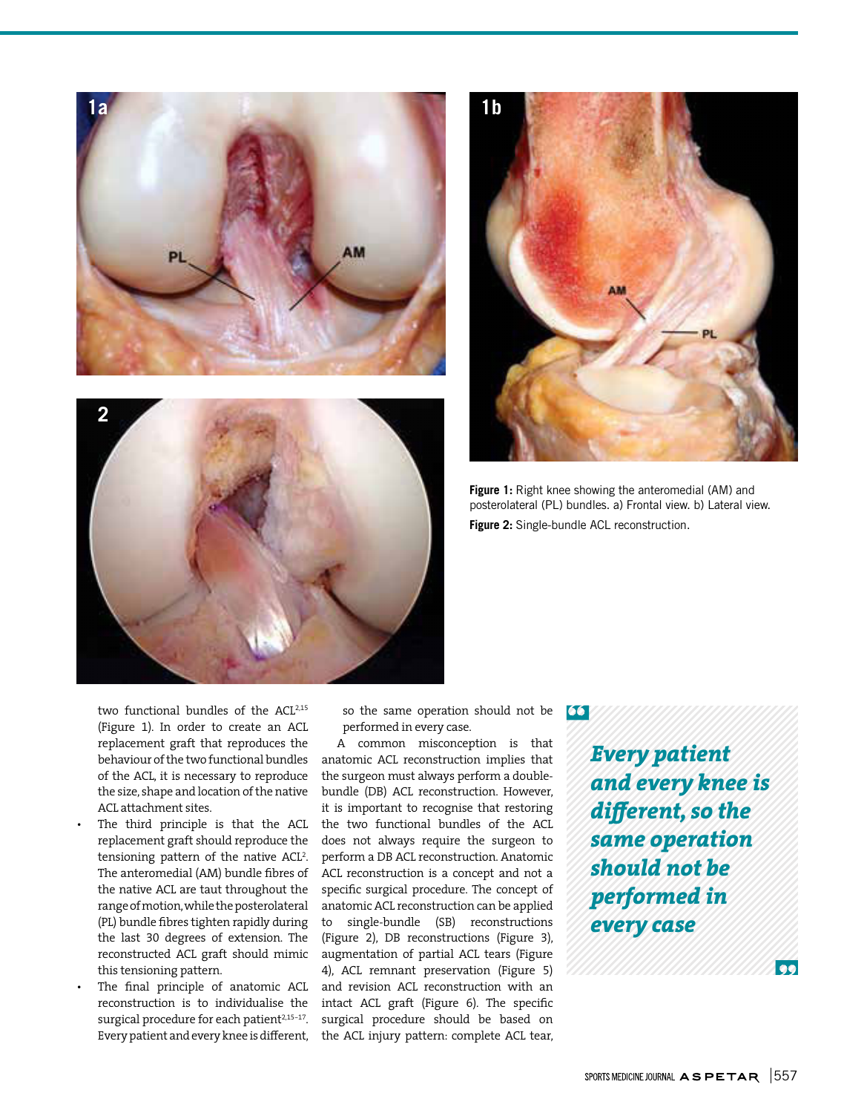





**Figure 1:** Right knee showing the anteromedial (AM) and posterolateral (PL) bundles. a) Frontal view. b) Lateral view. **Figure 2:** Single-bundle ACL reconstruction.

two functional bundles of the ACL<sup>2,15</sup> (Figure 1). In order to create an ACL replacement graft that reproduces the behaviour of the two functional bundles of the ACL, it is necessary to reproduce the size, shape and location of the native ACL attachment sites.

- The third principle is that the ACL replacement graft should reproduce the tensioning pattern of the native ACL<sup>2</sup>. The anteromedial (AM) bundle fibres of the native ACL are taut throughout the range of motion, while the posterolateral (PL) bundle fibres tighten rapidly during the last 30 degrees of extension. The reconstructed ACL graft should mimic this tensioning pattern.
- The final principle of anatomic ACL reconstruction is to individualise the surgical procedure for each patient<sup>2,15-17</sup>. Every patient and every knee is different,

so the same operation should not be performed in every case.

A common misconception is that anatomic ACL reconstruction implies that the surgeon must always perform a doublebundle (DB) ACL reconstruction. However, it is important to recognise that restoring the two functional bundles of the ACL does not always require the surgeon to perform a DB ACL reconstruction. Anatomic ACL reconstruction is a concept and not a specific surgical procedure. The concept of anatomic ACL reconstruction can be applied to single-bundle (SB) reconstructions (Figure 2), DB reconstructions (Figure 3), augmentation of partial ACL tears (Figure 4), ACL remnant preservation (Figure 5) and revision ACL reconstruction with an intact ACL graft (Figure 6). The specific surgical procedure should be based on the ACL injury pattern: complete ACL tear,

66

*Every patient and every knee is different, so the same operation should not be performed in every case*

 $\bullet$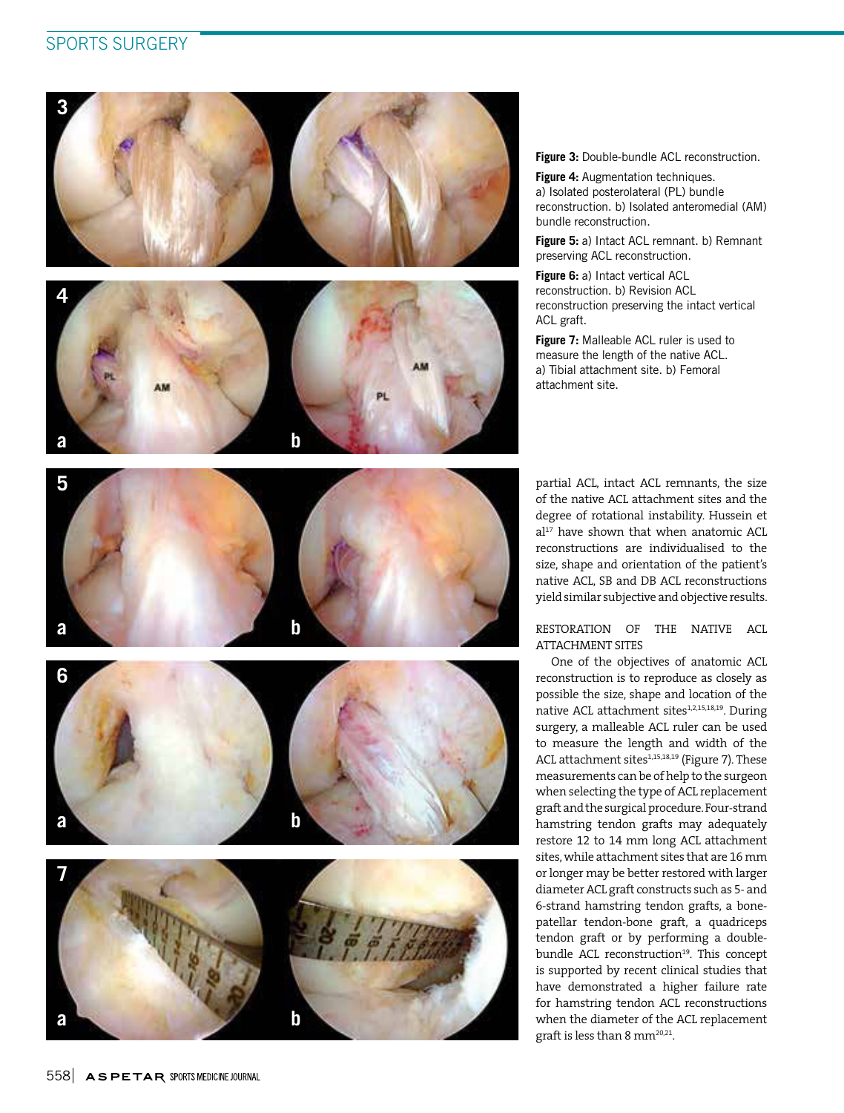# SPORTS SURGERY



**Figure 3:** Double-bundle ACL reconstruction.

**Figure 4: Augmentation techniques.** a) Isolated posterolateral (PL) bundle reconstruction. b) Isolated anteromedial (AM) bundle reconstruction.

**Figure 5:** a) Intact ACL remnant. b) Remnant preserving ACL reconstruction.

**Figure 6:** a) Intact vertical ACL reconstruction. b) Revision ACL reconstruction preserving the intact vertical ACL graft.

**Figure 7:** Malleable ACL ruler is used to measure the length of the native ACL. a) Tibial attachment site. b) Femoral attachment site.

partial ACL, intact ACL remnants, the size of the native ACL attachment sites and the degree of rotational instability. Hussein et al<sup>17</sup> have shown that when anatomic ACL reconstructions are individualised to the size, shape and orientation of the patient's native ACL, SB and DB ACL reconstructions yield similar subjective and objective results.

# RESTORATION OF THE NATIVE ACL ATTACHMENT SITES

One of the objectives of anatomic ACL reconstruction is to reproduce as closely as possible the size, shape and location of the native ACL attachment sites<sup>1,2,15,18,19</sup>. During surgery, a malleable ACL ruler can be used to measure the length and width of the ACL attachment sites<sup>1,15,18,19</sup> (Figure 7). These measurements can be of help to the surgeon when selecting the type of ACL replacement graft and the surgical procedure. Four-strand hamstring tendon grafts may adequately restore 12 to 14 mm long ACL attachment sites, while attachment sites that are 16 mm or longer may be better restored with larger diameter ACL graft constructs such as 5- and 6-strand hamstring tendon grafts, a bonepatellar tendon-bone graft, a quadriceps tendon graft or by performing a doublebundle ACL reconstruction<sup>19</sup>. This concept is supported by recent clinical studies that have demonstrated a higher failure rate for hamstring tendon ACL reconstructions when the diameter of the ACL replacement graft is less than 8 mm<sup>20,21</sup>.





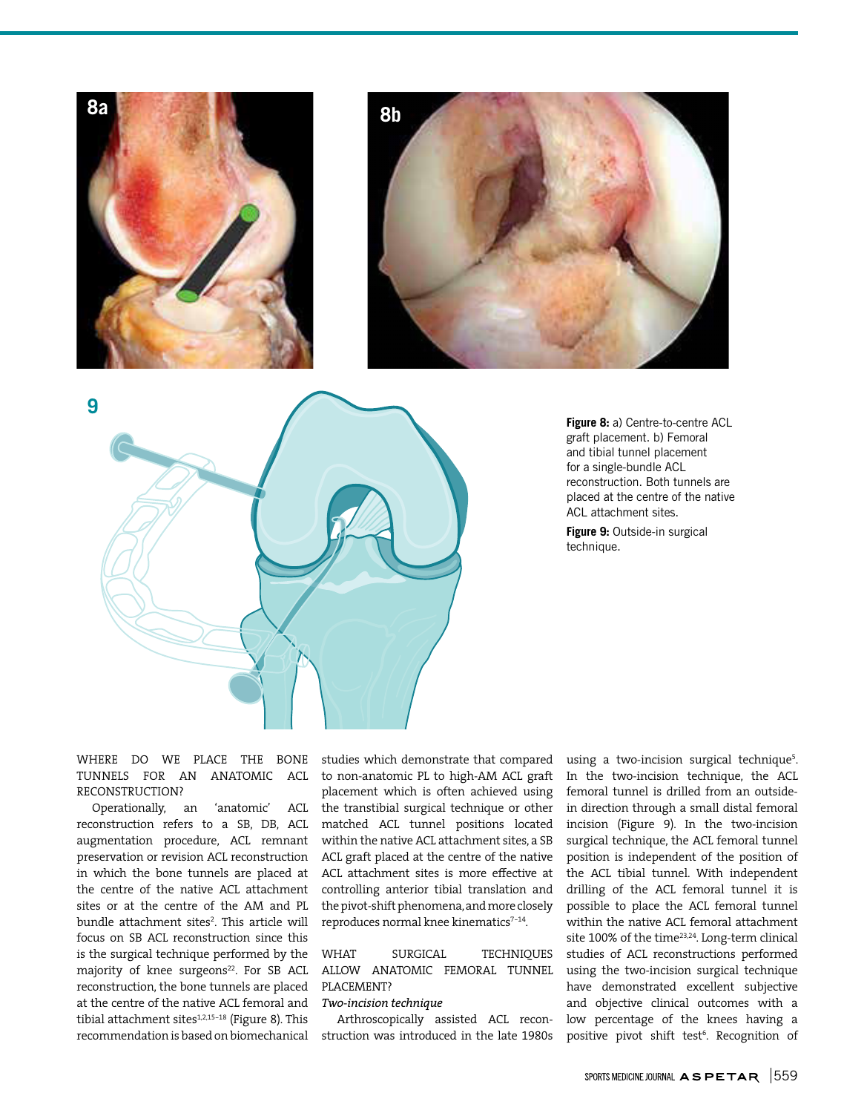





**Figure 8:** a) Centre-to-centre ACL graft placement. b) Femoral and tibial tunnel placement for a single-bundle ACL reconstruction. Both tunnels are placed at the centre of the native ACL attachment sites.

**Figure 9:** Outside-in surgical technique.

WHERE DO WE PLACE THE BONE TUNNELS FOR AN ANATOMIC ACL RECONSTRUCTION?

Operationally, an 'anatomic' ACL reconstruction refers to a SB, DB, ACL augmentation procedure, ACL remnant preservation or revision ACL reconstruction in which the bone tunnels are placed at the centre of the native ACL attachment sites or at the centre of the AM and PL bundle attachment sites<sup>2</sup>. This article will focus on SB ACL reconstruction since this is the surgical technique performed by the majority of knee surgeons<sup>22</sup>. For SB ACL reconstruction, the bone tunnels are placed at the centre of the native ACL femoral and tibial attachment sites $1,2,15-18$  (Figure 8). This recommendation is based on biomechanical studies which demonstrate that compared to non-anatomic PL to high-AM ACL graft placement which is often achieved using the transtibial surgical technique or other matched ACL tunnel positions located within the native ACL attachment sites, a SB ACL graft placed at the centre of the native ACL attachment sites is more effective at controlling anterior tibial translation and the pivot-shift phenomena, and more closely reproduces normal knee kinematics<sup>7-14</sup>.

WHAT SURGICAL TECHNIQUES ALLOW ANATOMIC FEMORAL TUNNEL PLACEMENT?

#### *Two-incision technique*

Arthroscopically assisted ACL reconstruction was introduced in the late 1980s

using a two-incision surgical technique<sup>5</sup>. In the two-incision technique, the ACL femoral tunnel is drilled from an outsidein direction through a small distal femoral incision (Figure 9). In the two-incision surgical technique, the ACL femoral tunnel position is independent of the position of the ACL tibial tunnel. With independent drilling of the ACL femoral tunnel it is possible to place the ACL femoral tunnel within the native ACL femoral attachment site 100% of the time<sup>23,24</sup>. Long-term clinical studies of ACL reconstructions performed using the two-incision surgical technique have demonstrated excellent subjective and objective clinical outcomes with a low percentage of the knees having a positive pivot shift test<sup>6</sup>. Recognition of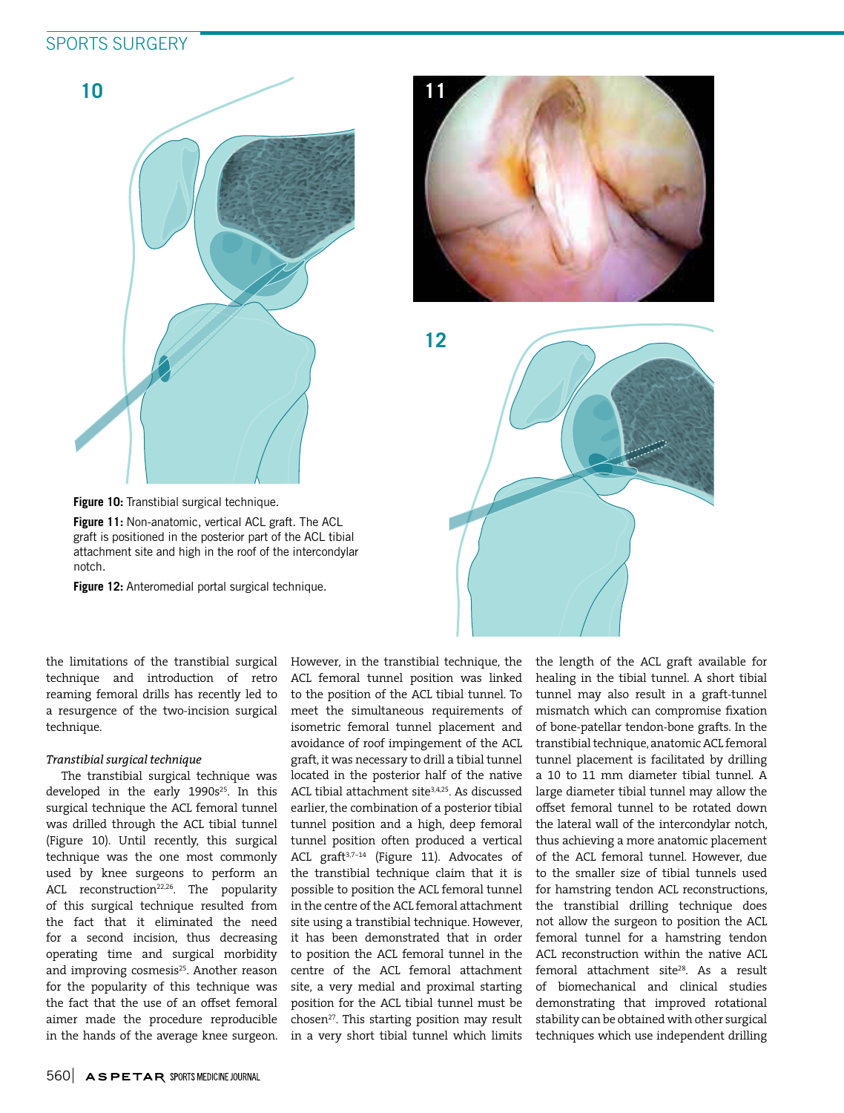# SPORTS SURGERY





**12**



**Figure 10:** Transtibial surgical technique.

**Figure 11:** Non-anatomic, vertical ACL graft. The ACL graft is positioned in the posterior part of the ACL tibial attachment site and high in the roof of the intercondylar notch.

**Figure 12:** Anteromedial portal surgical technique.

the limitations of the transtibial surgical technique and introduction of retro reaming femoral drills has recently led to a resurgence of the two-incision surgical technique.

# *Transtibial surgical technique*

The transtibial surgical technique was developed in the early 1990s <sup>25</sup>. In this surgical technique the ACL femoral tunnel was drilled through the ACL tibial tunnel (Figure 10). Until recently, this surgical technique was the one most commonly used by knee surgeons to perform an ACL reconstruction<sup>22,26</sup>. The popularity of this surgical technique resulted from the fact that it eliminated the need for a second incision, thus decreasing operating time and surgical morbidity and improving cosmesis<sup>25</sup>. Another reason for the popularity of this technique was the fact that the use of an offset femoral aimer made the procedure reproducible in the hands of the average knee surgeon.

However, in the transtibial technique, the ACL femoral tunnel position was linked to the position of the ACL tibial tunnel. To meet the simultaneous requirements of isometric femoral tunnel placement and avoidance of roof impingement of the ACL graft, it was necessary to drill a tibial tunnel located in the posterior half of the native ACL tibial attachment site<sup>3,4,25</sup>. As discussed earlier, the combination of a posterior tibial tunnel position and a high, deep femoral tunnel position often produced a vertical ACL graft<sup>3,7-14</sup> (Figure 11). Advocates of the transtibial technique claim that it is possible to position the ACL femoral tunnel in the centre of the ACL femoral attachment site using a transtibial technique. However, it has been demonstrated that in order to position the ACL femoral tunnel in the centre of the ACL femoral attachment site, a very medial and proximal starting position for the ACL tibial tunnel must be chosen<sup>27</sup>. This starting position may result in a very short tibial tunnel which limits the length of the ACL graft available for healing in the tibial tunnel. A short tibial tunnel may also result in a graft-tunnel mismatch which can compromise fixation of bone-patellar tendon-bone grafts. In the transtibial technique, anatomic ACL femoral tunnel placement is facilitated by drilling a 10 to 11 mm diameter tibial tunnel. A large diameter tibial tunnel may allow the offset femoral tunnel to be rotated down the lateral wall of the intercondylar notch, thus achieving a more anatomic placement of the ACL femoral tunnel. However, due to the smaller size of tibial tunnels used for hamstring tendon ACL reconstructions, the transtibial drilling technique does not allow the surgeon to position the ACL femoral tunnel for a hamstring tendon ACL reconstruction within the native ACL femoral attachment site<sup>28</sup>. As a result of biomechanical and clinical studies demonstrating that improved rotational stability can be obtained with other surgical techniques which use independent drilling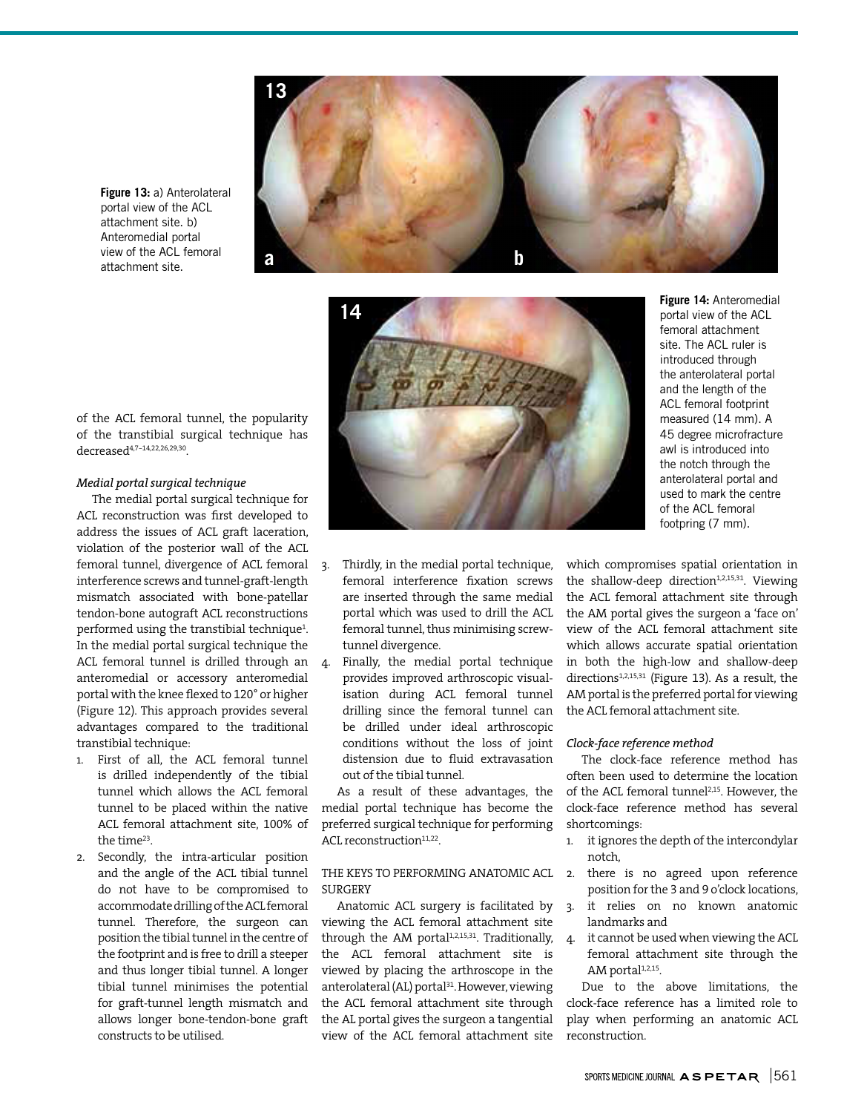

**14**

**Figure 14:** Anteromedial portal view of the ACL femoral attachment site. The ACL ruler is introduced through the anterolateral portal and the length of the ACL femoral footprint measured (14 mm). A 45 degree microfracture awl is introduced into the notch through the anterolateral portal and used to mark the centre of the ACL femoral footpring (7 mm).

of the ACL femoral tunnel, the popularity of the transtibial surgical technique has decreased4,7-14,22,26,29,30 .

# *Medial portal surgical technique*

**Figure 13:** a) Anterolateral portal view of the ACL attachment site. b) Anteromedial portal view of the ACL femoral attachment site.

The medial portal surgical technique for ACL reconstruction was first developed to address the issues of ACL graft laceration, violation of the posterior wall of the ACL femoral tunnel, divergence of ACL femoral interference screws and tunnel-graft-length mismatch associated with bone-patellar tendon-bone autograft ACL reconstructions performed using the transtibial technique<sup>1</sup>. In the medial portal surgical technique the ACL femoral tunnel is drilled through an 4. anteromedial or accessory anteromedial portal with the knee flexed to 120° or higher (Figure 12). This approach provides several advantages compared to the traditional transtibial technique:

- 1. First of all, the ACL femoral tunnel is drilled independently of the tibial tunnel which allows the ACL femoral tunnel to be placed within the native ACL femoral attachment site, 100% of the time<sup>23</sup>.
- 2. Secondly, the intra-articular position and the angle of the ACL tibial tunnel do not have to be compromised to accommodate drilling of the ACL femoral tunnel. Therefore, the surgeon can position the tibial tunnel in the centre of the footprint and is free to drill a steeper and thus longer tibial tunnel. A longer tibial tunnel minimises the potential for graft-tunnel length mismatch and allows longer bone-tendon-bone graft constructs to be utilised.
- 3. Thirdly, in the medial portal technique, femoral interference fixation screws are inserted through the same medial portal which was used to drill the ACL femoral tunnel, thus minimising screwtunnel divergence.
	- 4. Finally, the medial portal technique provides improved arthroscopic visualisation during ACL femoral tunnel drilling since the femoral tunnel can be drilled under ideal arthroscopic conditions without the loss of joint distension due to fluid extravasation out of the tibial tunnel.

As a result of these advantages, the medial portal technique has become the preferred surgical technique for performing ACL reconstruction<sup>11,22</sup>.

# THE KEYS TO PERFORMING ANATOMIC ACL 2. SURGERY

Anatomic ACL surgery is facilitated by viewing the ACL femoral attachment site through the AM portal<sup>1,2,15,31</sup>. Traditionally, the ACL femoral attachment site is viewed by placing the arthroscope in the anterolateral (AL) portal<sup>31</sup>. However, viewing the ACL femoral attachment site through the AL portal gives the surgeon a tangential view of the ACL femoral attachment site

which compromises spatial orientation in the shallow-deep direction<sup>1,2,15,31</sup>. Viewing the ACL femoral attachment site through the AM portal gives the surgeon a 'face on' view of the ACL femoral attachment site which allows accurate spatial orientation in both the high-low and shallow-deep directions<sup>1,2,15,31</sup> (Figure 13). As a result, the AM portal is the preferred portal for viewing the ACL femoral attachment site.

## *Clock-face reference method*

The clock-face reference method has often been used to determine the location of the ACL femoral tunnel<sup>2,15</sup>. However, the clock-face reference method has several shortcomings:

- 1. it ignores the depth of the intercondylar notch,
- there is no agreed upon reference position for the 3 and 9 o'clock locations,
- 3. it relies on no known anatomic landmarks and
- 4. it cannot be used when viewing the ACL femoral attachment site through the AM portal<sup>1,2,15</sup>.

Due to the above limitations, the clock-face reference has a limited role to play when performing an anatomic ACL reconstruction.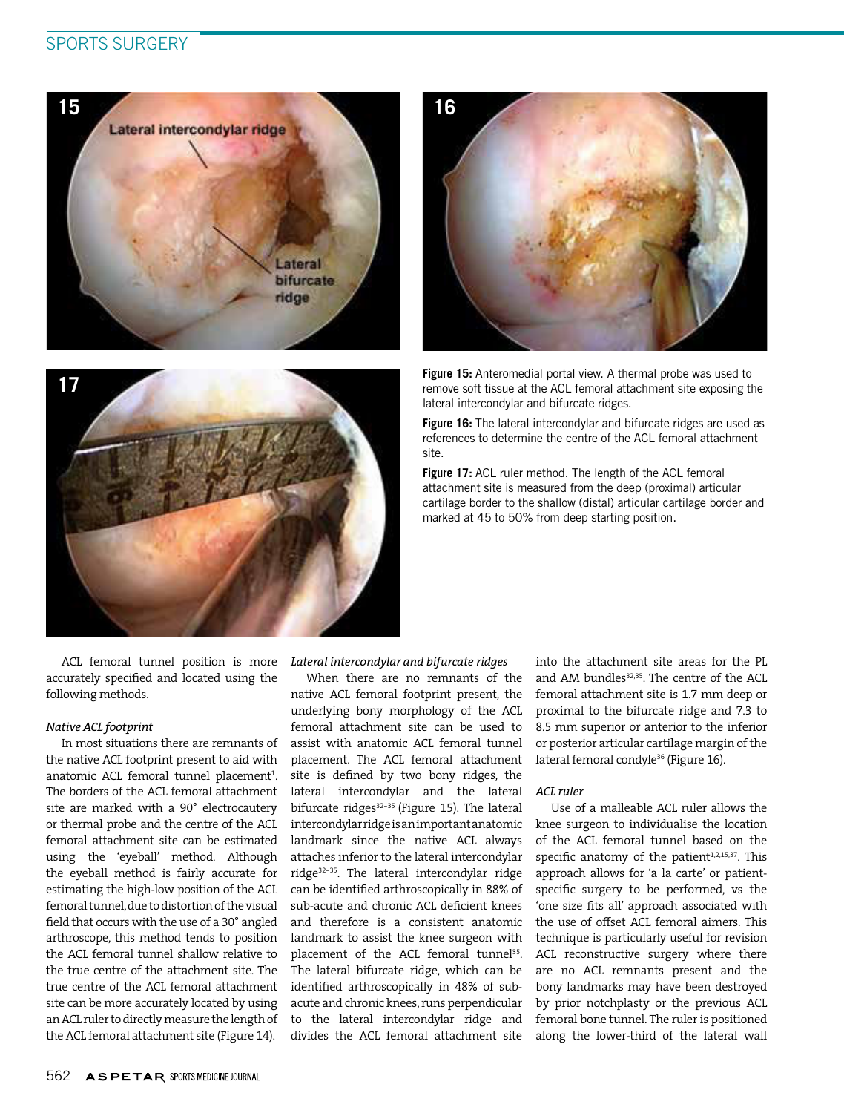# SPORTS SURGERY







**Figure 15:** Anteromedial portal view. A thermal probe was used to remove soft tissue at the ACL femoral attachment site exposing the lateral intercondylar and bifurcate ridges.

**Figure 16:** The lateral intercondylar and bifurcate ridges are used as references to determine the centre of the ACL femoral attachment site.

**Figure 17:** ACL ruler method. The length of the ACL femoral attachment site is measured from the deep (proximal) articular cartilage border to the shallow (distal) articular cartilage border and marked at 45 to 50% from deep starting position.

ACL femoral tunnel position is more accurately specified and located using the following methods.

## *Native ACL footprint*

In most situations there are remnants of the native ACL footprint present to aid with anatomic ACL femoral tunnel placement<sup>1</sup>. The borders of the ACL femoral attachment site are marked with a 90° electrocautery or thermal probe and the centre of the ACL femoral attachment site can be estimated using the 'eyeball' method. Although the eyeball method is fairly accurate for estimating the high-low position of the ACL femoral tunnel, due to distortion of the visual field that occurs with the use of a 30° angled arthroscope, this method tends to position the ACL femoral tunnel shallow relative to the true centre of the attachment site. The true centre of the ACL femoral attachment site can be more accurately located by using an ACL ruler to directly measure the length of the ACL femoral attachment site (Figure 14).

## *Lateral intercondylar and bifurcate ridges*

When there are no remnants of the native ACL femoral footprint present, the underlying bony morphology of the ACL femoral attachment site can be used to assist with anatomic ACL femoral tunnel placement. The ACL femoral attachment site is defined by two bony ridges, the lateral intercondylar and the lateral bifurcate ridges $32-35$  (Figure 15). The lateral intercondylar ridge is an important anatomic landmark since the native ACL always attaches inferior to the lateral intercondylar ridge<sup>32-35</sup>. The lateral intercondylar ridge can be identified arthroscopically in 88% of sub-acute and chronic ACL deficient knees and therefore is a consistent anatomic landmark to assist the knee surgeon with placement of the ACL femoral tunnel<sup>35</sup>. The lateral bifurcate ridge, which can be identified arthroscopically in 48% of subacute and chronic knees, runs perpendicular to the lateral intercondylar ridge and divides the ACL femoral attachment site

into the attachment site areas for the PL and AM bundles<sup>32,35</sup>. The centre of the ACL femoral attachment site is 1.7 mm deep or proximal to the bifurcate ridge and 7.3 to 8.5 mm superior or anterior to the inferior or posterior articular cartilage margin of the lateral femoral condyle<sup>36</sup> (Figure 16).

## *ACL ruler*

Use of a malleable ACL ruler allows the knee surgeon to individualise the location of the ACL femoral tunnel based on the specific anatomy of the patient $1,2,15,37$ . This approach allows for 'a la carte' or patientspecific surgery to be performed, vs the 'one size fits all' approach associated with the use of offset ACL femoral aimers. This technique is particularly useful for revision ACL reconstructive surgery where there are no ACL remnants present and the bony landmarks may have been destroyed by prior notchplasty or the previous ACL femoral bone tunnel. The ruler is positioned along the lower-third of the lateral wall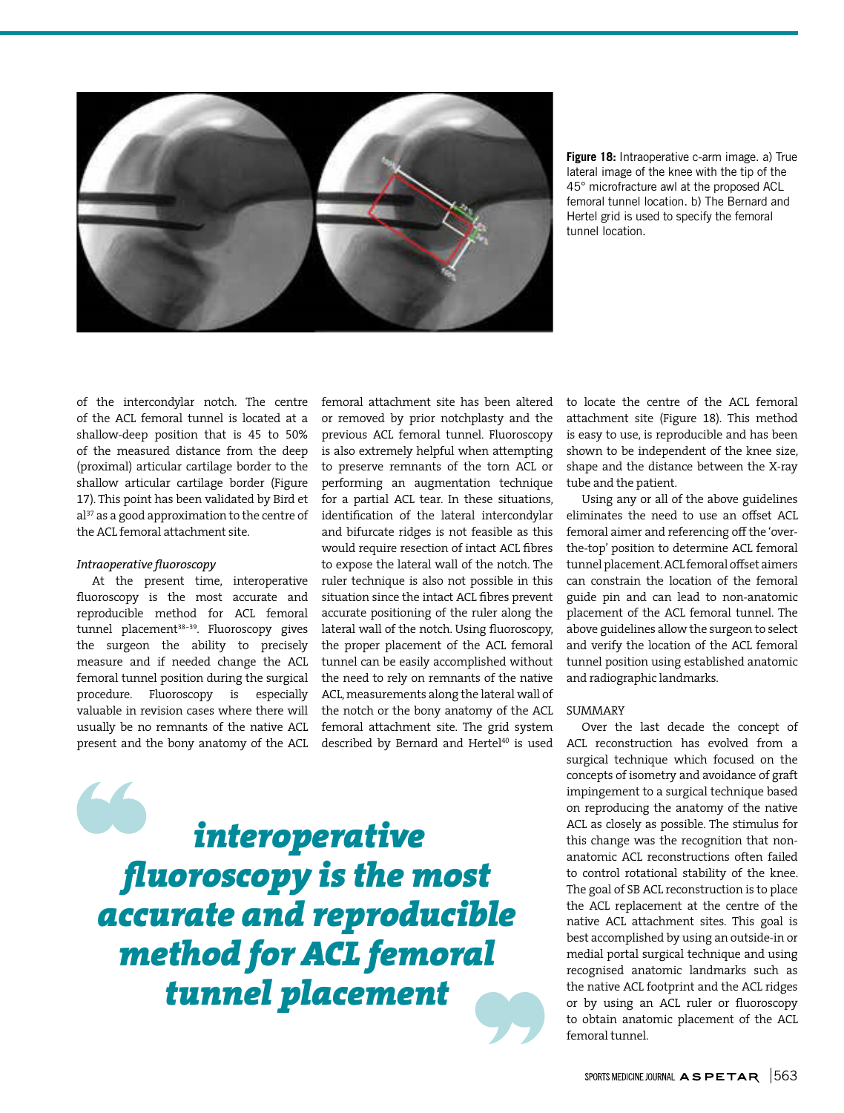

**Figure 18:** Intraoperative c-arm image. a) True lateral image of the knee with the tip of the 45° microfracture awl at the proposed ACL femoral tunnel location. b) The Bernard and Hertel grid is used to specify the femoral tunnel location.

of the intercondylar notch. The centre of the ACL femoral tunnel is located at a shallow-deep position that is 45 to 50% of the measured distance from the deep (proximal) articular cartilage border to the shallow articular cartilage border (Figure 17). This point has been validated by Bird et al<sup>37</sup> as a good approximation to the centre of the ACL femoral attachment site.

## *Intraoperative fluoroscopy*

At the present time, interoperative fluoroscopy is the most accurate and reproducible method for ACL femoral tunnel placement<sup>38-39</sup>. Fluoroscopy gives the surgeon the ability to precisely measure and if needed change the ACL femoral tunnel position during the surgical procedure. Fluoroscopy is especially valuable in revision cases where there will usually be no remnants of the native ACL present and the bony anatomy of the ACL

femoral attachment site has been altered or removed by prior notchplasty and the previous ACL femoral tunnel. Fluoroscopy is also extremely helpful when attempting to preserve remnants of the torn ACL or performing an augmentation technique for a partial ACL tear. In these situations, identification of the lateral intercondylar and bifurcate ridges is not feasible as this would require resection of intact ACL fibres to expose the lateral wall of the notch. The ruler technique is also not possible in this situation since the intact ACL fibres prevent accurate positioning of the ruler along the lateral wall of the notch. Using fluoroscopy, the proper placement of the ACL femoral tunnel can be easily accomplished without the need to rely on remnants of the native ACL, measurements along the lateral wall of the notch or the bony anatomy of the ACL femoral attachment site. The grid system described by Bernard and Hertel<sup>40</sup> is used

*interoperative fluoroscopy is the most accurate and reproducible method for ACL femoral tunnel placement*

to locate the centre of the ACL femoral attachment site (Figure 18). This method is easy to use, is reproducible and has been shown to be independent of the knee size, shape and the distance between the X-ray tube and the patient.

Using any or all of the above guidelines eliminates the need to use an offset ACL femoral aimer and referencing off the 'overthe-top' position to determine ACL femoral tunnel placement. ACL femoral offset aimers can constrain the location of the femoral guide pin and can lead to non-anatomic placement of the ACL femoral tunnel. The above guidelines allow the surgeon to select and verify the location of the ACL femoral tunnel position using established anatomic and radiographic landmarks.

#### SUMMARY

Over the last decade the concept of ACL reconstruction has evolved from a surgical technique which focused on the concepts of isometry and avoidance of graft impingement to a surgical technique based on reproducing the anatomy of the native ACL as closely as possible. The stimulus for this change was the recognition that nonanatomic ACL reconstructions often failed to control rotational stability of the knee. The goal of SB ACL reconstruction is to place the ACL replacement at the centre of the native ACL attachment sites. This goal is best accomplished by using an outside-in or medial portal surgical technique and using recognised anatomic landmarks such as the native ACL footprint and the ACL ridges or by using an ACL ruler or fluoroscopy to obtain anatomic placement of the ACL femoral tunnel.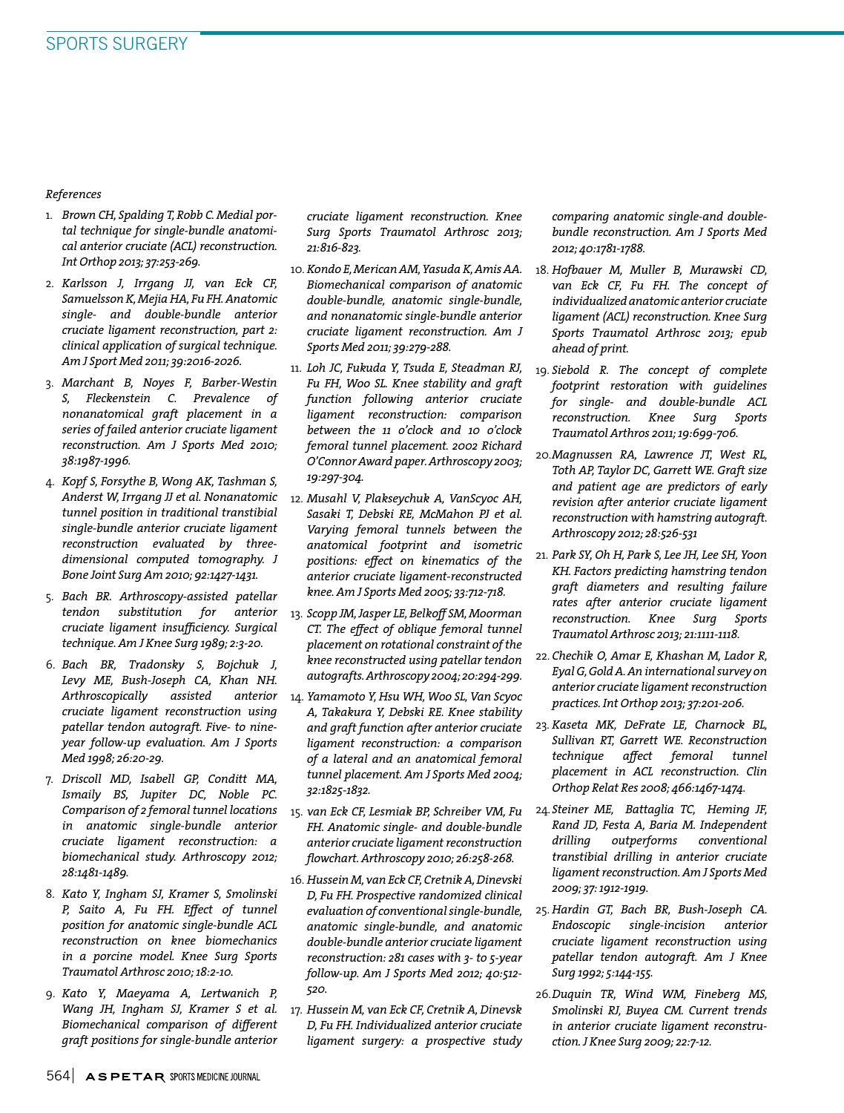*References*

- 1. *Brown CH, Spalding T, Robb C. Medial portal technique for single-bundle anatomical anterior cruciate (ACL) reconstruction. Int Orthop 2013; 37:253-269.*
- 2. *Karlsson J, Irrgang JJ, van Eck CF, Samuelsson K, Mejia HA, Fu FH. Anatomic single- and double-bundle anterior cruciate ligament reconstruction, part 2: clinical application of surgical technique. Am J Sport Med 2011; 39:2016-2026.*
- 3. *Marchant B, Noyes F, Barber-Westin S, Fleckenstein C. Prevalence of nonanatomical graft placement in a series of failed anterior cruciate ligament reconstruction. Am J Sports Med 2010; 38:1987-1996.*
- 4. *Kopf S, Forsythe B, Wong AK, Tashman S, Anderst W, Irrgang JJ et al. Nonanatomic tunnel position in traditional transtibial single-bundle anterior cruciate ligament reconstruction evaluated by threedimensional computed tomography. J Bone Joint Surg Am 2010; 92:1427-1431.*
- 5. *Bach BR. Arthroscopy-assisted patellar tendon substitution for anterior cruciate ligament insufficiency. Surgical technique. Am J Knee Surg 1989; 2:3-20.*
- 6. *Bach BR, Tradonsky S, Bojchuk J, Levy ME, Bush-Joseph CA, Khan NH. Arthroscopically assisted anterior cruciate ligament reconstruction using patellar tendon autograft. Five- to nineyear follow-up evaluation. Am J Sports Med 1998; 26:20-29.*
- 7. *Driscoll MD, Isabell GP, Conditt MA, Ismaily BS, Jupiter DC, Noble PC. Comparison of 2 femoral tunnel locations in anatomic single-bundle anterior cruciate ligament reconstruction: a biomechanical study. Arthroscopy 2012; 28:1481-1489.*
- 8. *Kato Y, Ingham SJ, Kramer S, Smolinski P, Saito A, Fu FH. Effect of tunnel position for anatomic single-bundle ACL reconstruction on knee biomechanics in a porcine model. Knee Surg Sports Traumatol Arthrosc 2010; 18:2-10.*
- 9. *Kato Y, Maeyama A, Lertwanich P, Wang JH, Ingham SJ, Kramer S et al. Biomechanical comparison of different graft positions for single-bundle anterior*

*cruciate ligament reconstruction. Knee Surg Sports Traumatol Arthrosc 2013; 21:816-823.*

- 10. *Kondo E, Merican AM, Yasuda K, Amis AA. Biomechanical comparison of anatomic double-bundle, anatomic single-bundle, and nonanatomic single-bundle anterior cruciate ligament reconstruction. Am J Sports Med 2011; 39:279-288.*
- 11. *Loh JC, Fukuda Y, Tsuda E, Steadman RJ, Fu FH, Woo SL. Knee stability and graft function following anterior cruciate ligament reconstruction: comparison between the 11 o'clock and 10 o'clock femoral tunnel placement. 2002 Richard O'Connor Award paper. Arthroscopy 2003; 19:297-304.*
- 12. *Musahl V, Plakseychuk A, VanScyoc AH, Sasaki T, Debski RE, McMahon PJ et al. Varying femoral tunnels between the anatomical footprint and isometric positions: effect on kinematics of the anterior cruciate ligament-reconstructed knee. Am J Sports Med 2005; 33:712-718.*
- 13. *Scopp JM, Jasper LE, Belkoff SM, Moorman CT. The effect of oblique femoral tunnel placement on rotational constraint of the knee reconstructed using patellar tendon autografts. Arthroscopy 2004; 20:294-299.*
- 14. *Yamamoto Y, Hsu WH, Woo SL, Van Scyoc A, Takakura Y, Debski RE. Knee stability and graft function after anterior cruciate ligament reconstruction: a comparison of a lateral and an anatomical femoral tunnel placement. Am J Sports Med 2004; 32:1825-1832.*
- 15. *van Eck CF, Lesmiak BP, Schreiber VM, Fu FH. Anatomic single- and double-bundle anterior cruciate ligament reconstruction flowchart. Arthroscopy 2010; 26:258-268.*
- 16. *Hussein M, van Eck CF, Cretnik A, Dinevski D, Fu FH. Prospective randomized clinical evaluation of conventional single-bundle, anatomic single-bundle, and anatomic double-bundle anterior cruciate ligament reconstruction: 281 cases with 3- to 5-year follow-up. Am J Sports Med 2012; 40:512- 520.*
- 17. *Hussein M, van Eck CF, Cretnik A, Dinevsk D, Fu FH. Individualized anterior cruciate ligament surgery: a prospective study*

*comparing anatomic single-and doublebundle reconstruction. Am J Sports Med 2012; 40:1781-1788.*

- 18. *Hofbauer M, Muller B, Murawski CD, van Eck CF, Fu FH. The concept of individualized anatomic anterior cruciate ligament (ACL) reconstruction. Knee Surg Sports Traumatol Arthrosc 2013; epub ahead of print.*
- 19. *Siebold R. The concept of complete footprint restoration with guidelines for single- and double-bundle ACL reconstruction. Knee Surg Sports Traumatol Arthros 2011; 19:699-706.*
- 20. *Magnussen RA, Lawrence JT, West RL, Toth AP, Taylor DC, Garrett WE. Graft size and patient age are predictors of early revision after anterior cruciate ligament reconstruction with hamstring autograft. Arthroscopy 2012; 28:526-531*
- 21. *Park SY, Oh H, Park S, Lee JH, Lee SH, Yoon KH. Factors predicting hamstring tendon graft diameters and resulting failure rates after anterior cruciate ligament reconstruction. Knee Surg Sports Traumatol Arthrosc 2013; 21:1111-1118.*
- 22. *Chechik O, Amar E, Khashan M, Lador R, Eyal G, Gold A. An international survey on anterior cruciate ligament reconstruction practices. Int Orthop 2013; 37:201-206.*
- 23. *Kaseta MK, DeFrate LE, Charnock BL, Sullivan RT, Garrett WE. Reconstruction technique affect femoral tunnel placement in ACL reconstruction. Clin Orthop Relat Res 2008; 466:1467-1474.*
- 24. *Steiner ME, Battaglia TC, Heming JF, Rand JD, Festa A, Baria M. Independent drilling outperforms conventional transtibial drilling in anterior cruciate ligament reconstruction. Am J Sports Med 2009; 37: 1912-1919.*
- 25. *Hardin GT, Bach BR, Bush-Joseph CA. Endoscopic single-incision anterior cruciate ligament reconstruction using patellar tendon autograft. Am J Knee Surg 1992; 5:144-155.*
- 26. *Duquin TR, Wind WM, Fineberg MS, Smolinski RJ, Buyea CM. Current trends in anterior cruciate ligament reconstruction. J Knee Surg 2009; 22:7-12.*